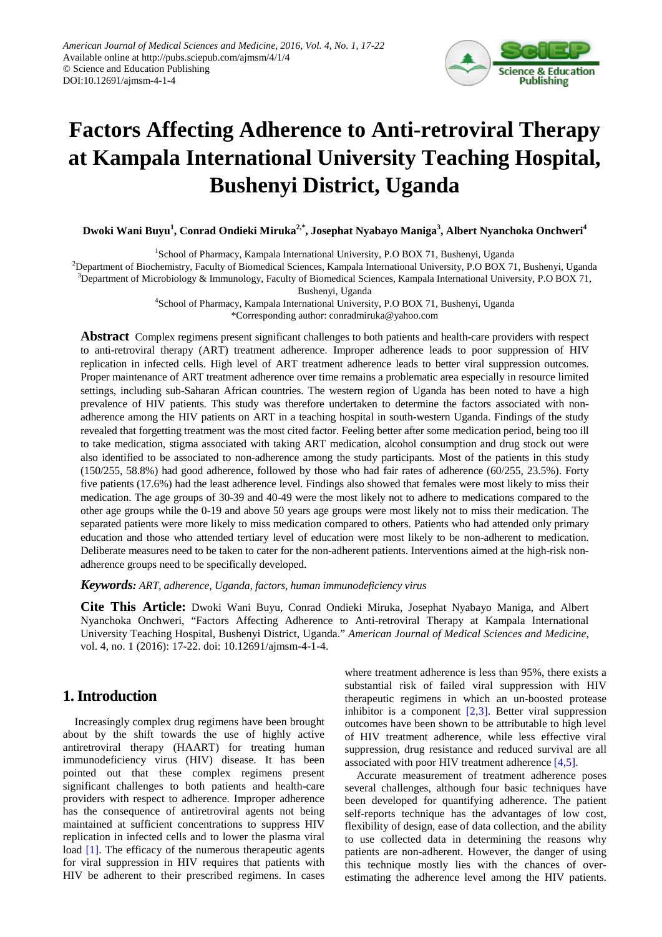

# **Factors Affecting Adherence to Anti-retroviral Therapy at Kampala International University Teaching Hospital, Bushenyi District, Uganda**

**Dwoki Wani Buyu1 , Conrad Ondieki Miruka2,\* , Josephat Nyabayo Maniga<sup>3</sup> , Albert Nyanchoka Onchweri4**

<sup>1</sup>School of Pharmacy, Kampala International University, P.O BOX 71, Bushenyi, Uganda

<sup>2</sup>Department of Biochemistry, Faculty of Biomedical Sciences, Kampala International University, P.O BOX 71, Bushenyi, Uganda 3 Department of Microbiology & Immunology, Faculty of Biomedical Sciences, Kampala International University, P.O BOX 71,

Bushenyi, Uganda

4 School of Pharmacy, Kampala International University, P.O BOX 71, Bushenyi, Uganda \*Corresponding author: conradmiruka@yahoo.com

**Abstract** Complex regimens present significant challenges to both patients and health-care providers with respect to anti-retroviral therapy (ART) treatment adherence. Improper adherence leads to poor suppression of HIV replication in infected cells. High level of ART treatment adherence leads to better viral suppression outcomes. Proper maintenance of ART treatment adherence over time remains a problematic area especially in resource limited settings, including sub-Saharan African countries. The western region of Uganda has been noted to have a high prevalence of HIV patients. This study was therefore undertaken to determine the factors associated with nonadherence among the HIV patients on ART in a teaching hospital in south-western Uganda. Findings of the study revealed that forgetting treatment was the most cited factor. Feeling better after some medication period, being too ill to take medication, stigma associated with taking ART medication, alcohol consumption and drug stock out were also identified to be associated to non-adherence among the study participants. Most of the patients in this study (150/255, 58.8%) had good adherence, followed by those who had fair rates of adherence (60/255, 23.5%). Forty five patients (17.6%) had the least adherence level. Findings also showed that females were most likely to miss their medication. The age groups of 30-39 and 40-49 were the most likely not to adhere to medications compared to the other age groups while the 0-19 and above 50 years age groups were most likely not to miss their medication. The separated patients were more likely to miss medication compared to others. Patients who had attended only primary education and those who attended tertiary level of education were most likely to be non-adherent to medication. Deliberate measures need to be taken to cater for the non-adherent patients. Interventions aimed at the high-risk nonadherence groups need to be specifically developed.

*Keywords: ART, adherence, Uganda, factors, human immunodeficiency virus*

**Cite This Article:** Dwoki Wani Buyu, Conrad Ondieki Miruka, Josephat Nyabayo Maniga, and Albert Nyanchoka Onchweri, "Factors Affecting Adherence to Anti-retroviral Therapy at Kampala International University Teaching Hospital, Bushenyi District, Uganda." *American Journal of Medical Sciences and Medicine*, vol. 4, no. 1 (2016): 17-22. doi: 10.12691/ajmsm-4-1-4.

## **1. Introduction**

Increasingly complex drug regimens have been brought about by the shift towards the use of highly active antiretroviral therapy (HAART) for treating human immunodeficiency virus (HIV) disease. It has been pointed out that these complex regimens present significant challenges to both patients and health-care providers with respect to adherence. Improper adherence has the consequence of antiretroviral agents not being maintained at sufficient concentrations to suppress HIV replication in infected cells and to lower the plasma viral load [\[1\].](#page-4-0) The efficacy of the numerous therapeutic agents for viral suppression in HIV requires that patients with HIV be adherent to their prescribed regimens. In cases where treatment adherence is less than 95%, there exists a substantial risk of failed viral suppression with HIV therapeutic regimens in which an un-boosted protease inhibitor is a component  $[2,3]$ . Better viral suppression outcomes have been shown to be attributable to high level of HIV treatment adherence, while less effective viral suppression, drug resistance and reduced survival are all associated with poor HIV treatment adherence [\[4,5\].](#page-4-2)

Accurate measurement of treatment adherence poses several challenges, although four basic techniques have been developed for quantifying adherence. The patient self-reports technique has the advantages of low cost, flexibility of design, ease of data collection, and the ability to use collected data in determining the reasons why patients are non-adherent. However, the danger of using this technique mostly lies with the chances of overestimating the adherence level among the HIV patients.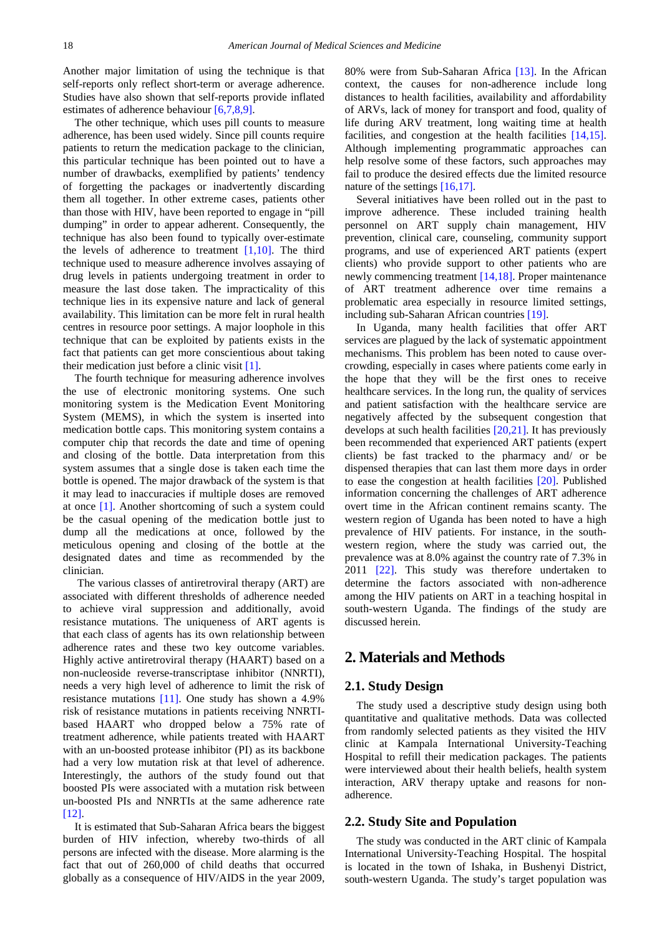Another major limitation of using the technique is that self-reports only reflect short-term or average adherence. Studies have also shown that self-reports provide inflated estimates of adherence behaviou[r \[6,7,8,9\].](#page-5-0)

The other technique, which uses pill counts to measure adherence, has been used widely. Since pill counts require patients to return the medication package to the clinician, this particular technique has been pointed out to have a number of drawbacks, exemplified by patients' tendency of forgetting the packages or inadvertently discarding them all together. In other extreme cases, patients other than those with HIV, have been reported to engage in "pill dumping" in order to appear adherent. Consequently, the technique has also been found to typically over-estimate the levels of adherence to treatment [\[1,10\].](#page-4-0) The third technique used to measure adherence involves assaying of drug levels in patients undergoing treatment in order to measure the last dose taken. The impracticality of this technique lies in its expensive nature and lack of general availability. This limitation can be more felt in rural health centres in resource poor settings. A major loophole in this technique that can be exploited by patients exists in the fact that patients can get more conscientious about taking their medication just before a clinic visit [\[1\].](#page-4-0) 

The fourth technique for measuring adherence involves the use of electronic monitoring systems. One such monitoring system is the Medication Event Monitoring System (MEMS), in which the system is inserted into medication bottle caps. This monitoring system contains a computer chip that records the date and time of opening and closing of the bottle. Data interpretation from this system assumes that a single dose is taken each time the bottle is opened. The major drawback of the system is that it may lead to inaccuracies if multiple doses are removed at once [\[1\].](#page-4-0) Another shortcoming of such a system could be the casual opening of the medication bottle just to dump all the medications at once, followed by the meticulous opening and closing of the bottle at the designated dates and time as recommended by the clinician.

The various classes of antiretroviral therapy (ART) are associated with different thresholds of adherence needed to achieve viral suppression and additionally, avoid resistance mutations. The uniqueness of ART agents is that each class of agents has its own relationship between adherence rates and these two key outcome variables. Highly active antiretroviral therapy (HAART) based on a non-nucleoside reverse-transcriptase inhibitor (NNRTI), needs a very high level of adherence to limit the risk of resistance mutations [\[11\].](#page-5-1) One study has shown a 4.9% risk of resistance mutations in patients receiving NNRTIbased HAART who dropped below a 75% rate of treatment adherence, while patients treated with HAART with an un-boosted protease inhibitor (PI) as its backbone had a very low mutation risk at that level of adherence. Interestingly, the authors of the study found out that boosted PIs were associated with a mutation risk between un-boosted PIs and NNRTIs at the same adherence rate [\[12\].](#page-5-2)

It is estimated that Sub-Saharan Africa bears the biggest burden of HIV infection, whereby two-thirds of all persons are infected with the disease. More alarming is the fact that out of 260,000 of child deaths that occurred globally as a consequence of HIV/AIDS in the year 2009, 80% were from Sub-Saharan Africa [\[13\].](#page-5-3) In the African context, the causes for non-adherence include long distances to health facilities, availability and affordability of ARVs, lack of money for transport and food, quality of life during ARV treatment, long waiting time at health facilities, and congestion at the health facilities [\[14,15\].](#page-5-4) Although implementing programmatic approaches can help resolve some of these factors, such approaches may fail to produce the desired effects due the limited resource nature of the settings [16,17].

Several initiatives have been rolled out in the past to improve adherence. These included training health personnel on ART supply chain management, HIV prevention, clinical care, counseling, community support programs, and use of experienced ART patients (expert clients) who provide support to other patients who are newly commencing treatment [\[14,18\].](#page-5-4) Proper maintenance of ART treatment adherence over time remains a problematic area especially in resource limited settings, including sub-Saharan African countries [\[19\].](#page-5-6) 

In Uganda, many health facilities that offer ART services are plagued by the lack of systematic appointment mechanisms. This problem has been noted to cause overcrowding, especially in cases where patients come early in the hope that they will be the first ones to receive healthcare services. In the long run, the quality of services and patient satisfaction with the healthcare service are negatively affected by the subsequent congestion that develops at such health facilities [\[20,21\].](#page-5-7) It has previously been recommended that experienced ART patients (expert clients) be fast tracked to the pharmacy and/ or be dispensed therapies that can last them more days in order to ease the congestion at health facilities [\[20\].](#page-5-7) Published information concerning the challenges of ART adherence overt time in the African continent remains scanty. The western region of Uganda has been noted to have a high prevalence of HIV patients. For instance, in the southwestern region, where the study was carried out, the prevalence was at 8.0% against the country rate of 7.3% in 2011 [\[22\].](#page-5-8) This study was therefore undertaken to determine the factors associated with non-adherence among the HIV patients on ART in a teaching hospital in south-western Uganda. The findings of the study are discussed herein.

### **2. Materials and Methods**

#### **2.1. Study Design**

The study used a descriptive study design using both quantitative and qualitative methods. Data was collected from randomly selected patients as they visited the HIV clinic at Kampala International University-Teaching Hospital to refill their medication packages. The patients were interviewed about their health beliefs, health system interaction, ARV therapy uptake and reasons for nonadherence.

#### **2.2. Study Site and Population**

The study was conducted in the ART clinic of Kampala International University-Teaching Hospital. The hospital is located in the town of Ishaka, in Bushenyi District, south-western Uganda. The study's target population was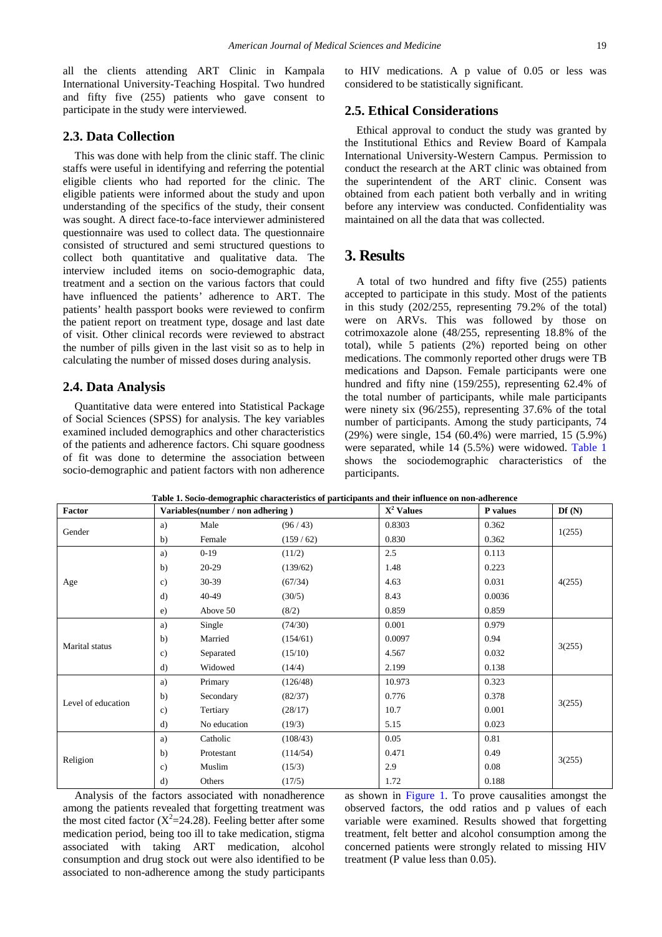all the clients attending ART Clinic in Kampala International University-Teaching Hospital. Two hundred and fifty five (255) patients who gave consent to participate in the study were interviewed.

#### **2.3. Data Collection**

This was done with help from the clinic staff. The clinic staffs were useful in identifying and referring the potential eligible clients who had reported for the clinic. The eligible patients were informed about the study and upon understanding of the specifics of the study, their consent was sought. A direct face-to-face interviewer administered questionnaire was used to collect data. The questionnaire consisted of structured and semi structured questions to collect both quantitative and qualitative data. The interview included items on socio-demographic data, treatment and a section on the various factors that could have influenced the patients' adherence to ART. The patients' health passport books were reviewed to confirm the patient report on treatment type, dosage and last date of visit. Other clinical records were reviewed to abstract the number of pills given in the last visit so as to help in calculating the number of missed doses during analysis.

#### **2.4. Data Analysis**

Quantitative data were entered into Statistical Package of Social Sciences (SPSS) for analysis. The key variables examined included demographics and other characteristics of the patients and adherence factors. Chi square goodness of fit was done to determine the association between socio-demographic and patient factors with non adherence to HIV medications. A p value of 0.05 or less was considered to be statistically significant.

#### **2.5. Ethical Considerations**

Ethical approval to conduct the study was granted by the Institutional Ethics and Review Board of Kampala International University-Western Campus. Permission to conduct the research at the ART clinic was obtained from the superintendent of the ART clinic. Consent was obtained from each patient both verbally and in writing before any interview was conducted. Confidentiality was maintained on all the data that was collected.

### **3. Results**

A total of two hundred and fifty five (255) patients accepted to participate in this study. Most of the patients in this study (202/255, representing 79.2% of the total) were on ARVs. This was followed by those on cotrimoxazole alone (48/255, representing 18.8% of the total), while 5 patients (2%) reported being on other medications. The commonly reported other drugs were TB medications and Dapson. Female participants were one hundred and fifty nine (159/255), representing 62.4% of the total number of participants, while male participants were ninety six (96/255), representing 37.6% of the total number of participants. Among the study participants, 74 (29%) were single, 154 (60.4%) were married, 15 (5.9%) were separated, while 14 (5.5%) were widowed. [Table 1](#page-2-0) shows the sociodemographic characteristics of the participants.

<span id="page-2-0"></span>

| <b>Factor</b>      | Variables(number / non adhering) |              |          | $X^2$ Values | P values | Df(N)  |
|--------------------|----------------------------------|--------------|----------|--------------|----------|--------|
| Gender             | a)                               | Male         | (96/43)  | 0.8303       | 0.362    |        |
|                    | b)                               | Female       | (159/62) | 0.830        | 0.362    | 1(255) |
| Age                | a)                               | $0-19$       | (11/2)   | 2.5          | 0.113    |        |
|                    | b)                               | $20-29$      | (139/62) | 1.48         | 0.223    |        |
|                    | $\mathbf{c}$                     | $30 - 39$    | (67/34)  | 4.63         | 0.031    | 4(255) |
|                    | d)                               | 40-49        | (30/5)   | 8.43         | 0.0036   |        |
|                    | $\epsilon$ )                     | Above 50     | (8/2)    | 0.859        | 0.859    |        |
| Marital status     | a)                               | Single       | (74/30)  | 0.001        | 0.979    | 3(255) |
|                    | b)                               | Married      | (154/61) | 0.0097       | 0.94     |        |
|                    | $\mathbf{c}$                     | Separated    | (15/10)  | 4.567        | 0.032    |        |
|                    | d)                               | Widowed      | (14/4)   | 2.199        | 0.138    |        |
| Level of education | a)                               | Primary      | (126/48) | 10.973       | 0.323    | 3(255) |
|                    | b)                               | Secondary    | (82/37)  | 0.776        | 0.378    |        |
|                    | $\mathbf{c})$                    | Tertiary     | (28/17)  | 10.7         | 0.001    |        |
|                    | d)                               | No education | (19/3)   | 5.15         | 0.023    |        |
| Religion           | a)                               | Catholic     | (108/43) | 0.05         | 0.81     |        |
|                    | b)                               | Protestant   | (114/54) | 0.471        | 0.49     |        |
|                    | $\mathbf{c}$                     | Muslim       | (15/3)   | 2.9          | 0.08     | 3(255) |
|                    | d)                               | Others       | (17/5)   | 1.72         | 0.188    |        |

**Table 1. Socio-demographic characteristics of participants and their influence on non-adherence**

Analysis of the factors associated with nonadherence among the patients revealed that forgetting treatment was the most cited factor ( $X^2$ =24.28). Feeling better after some medication period, being too ill to take medication, stigma associated with taking ART medication, alcohol consumption and drug stock out were also identified to be associated to non-adherence among the study participants

as shown in [Figure 1.](#page-3-0) To prove causalities amongst the observed factors, the odd ratios and p values of each variable were examined. Results showed that forgetting treatment, felt better and alcohol consumption among the concerned patients were strongly related to missing HIV treatment (P value less than 0.05).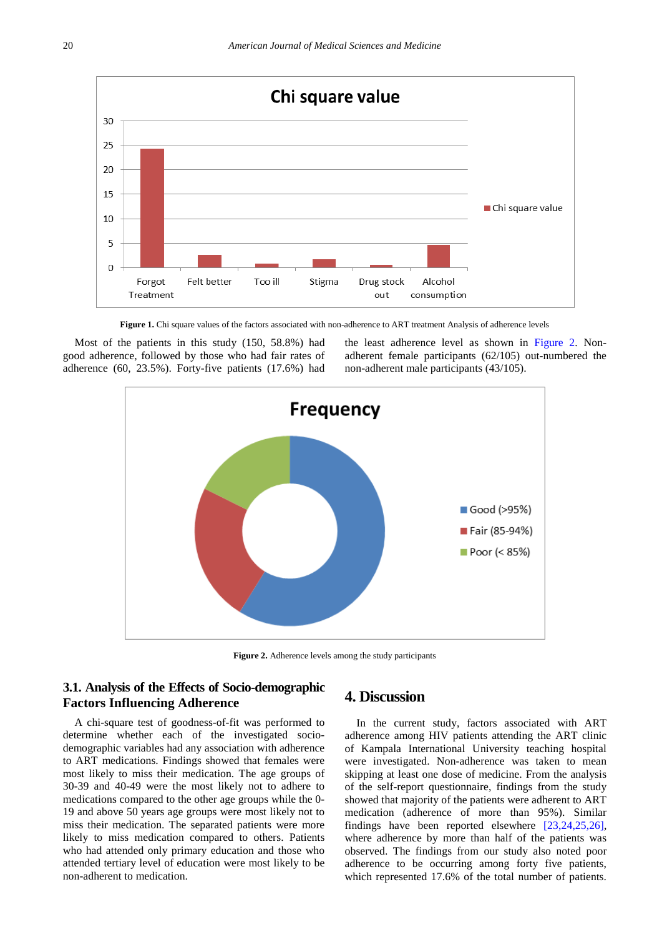<span id="page-3-0"></span>

**Figure 1.** Chi square values of the factors associated with non-adherence to ART treatment Analysis of adherence levels

<span id="page-3-1"></span>Most of the patients in this study (150, 58.8%) had good adherence, followed by those who had fair rates of adherence (60, 23.5%). Forty-five patients (17.6%) had

the least adherence level as shown in [Figure 2.](#page-3-1) Nonadherent female participants (62/105) out-numbered the non-adherent male participants (43/105).



**Figure 2.** Adherence levels among the study participants

## **3.1. Analysis of the Effects of Socio-demographic Factors Influencing Adherence**

A chi-square test of goodness-of-fit was performed to determine whether each of the investigated sociodemographic variables had any association with adherence to ART medications. Findings showed that females were most likely to miss their medication. The age groups of 30-39 and 40-49 were the most likely not to adhere to medications compared to the other age groups while the 0- 19 and above 50 years age groups were most likely not to miss their medication. The separated patients were more likely to miss medication compared to others. Patients who had attended only primary education and those who attended tertiary level of education were most likely to be non-adherent to medication.

#### **4. Discussion**

In the current study, factors associated with ART adherence among HIV patients attending the ART clinic of Kampala International University teaching hospital were investigated. Non-adherence was taken to mean skipping at least one dose of medicine. From the analysis of the self-report questionnaire, findings from the study showed that majority of the patients were adherent to ART medication (adherence of more than 95%). Similar findings have been reported elsewhere [\[23,24,25,26\],](#page-5-9) where adherence by more than half of the patients was observed. The findings from our study also noted poor adherence to be occurring among forty five patients, which represented 17.6% of the total number of patients.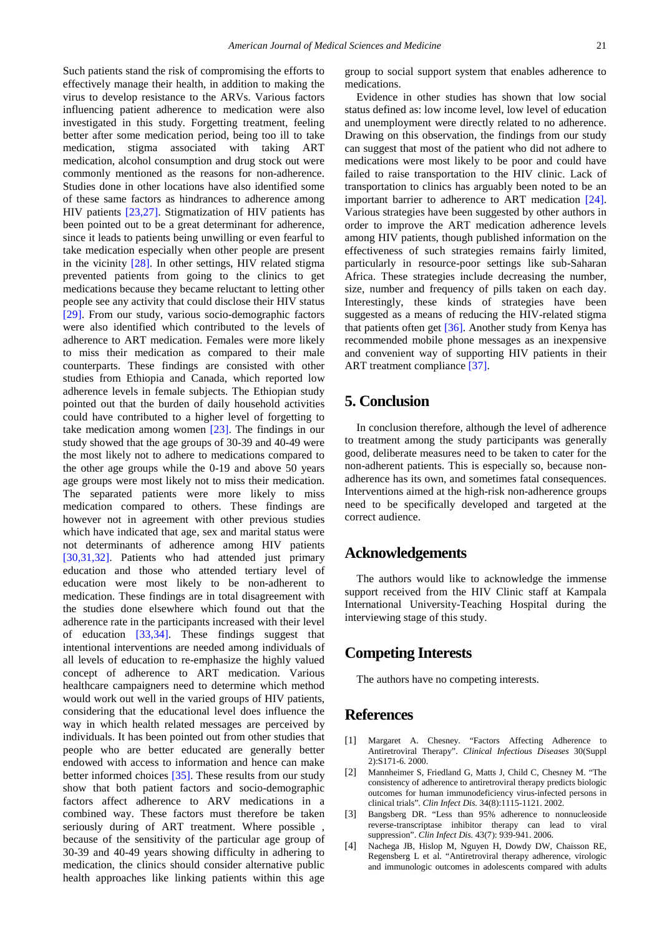Such patients stand the risk of compromising the efforts to effectively manage their health, in addition to making the virus to develop resistance to the ARVs. Various factors influencing patient adherence to medication were also investigated in this study. Forgetting treatment, feeling better after some medication period, being too ill to take medication, stigma associated with taking ART medication, alcohol consumption and drug stock out were commonly mentioned as the reasons for non-adherence. Studies done in other locations have also identified some of these same factors as hindrances to adherence among HIV patients [\[23,27\].](#page-5-9) Stigmatization of HIV patients has been pointed out to be a great determinant for adherence, since it leads to patients being unwilling or even fearful to take medication especially when other people are present in the vicinity [\[28\].](#page-5-10) In other settings, HIV related stigma prevented patients from going to the clinics to get medications because they became reluctant to letting other people see any activity that could disclose their HIV status [\[29\].](#page-5-11) From our study, various socio-demographic factors were also identified which contributed to the levels of adherence to ART medication. Females were more likely to miss their medication as compared to their male counterparts. These findings are consisted with other studies from Ethiopia and Canada, which reported low adherence levels in female subjects. The Ethiopian study pointed out that the burden of daily household activities could have contributed to a higher level of forgetting to take medication among women [\[23\].](#page-5-9) The findings in our study showed that the age groups of 30-39 and 40-49 were the most likely not to adhere to medications compared to the other age groups while the 0-19 and above 50 years age groups were most likely not to miss their medication. The separated patients were more likely to miss medication compared to others. These findings are however not in agreement with other previous studies which have indicated that age, sex and marital status were not determinants of adherence among HIV patients [\[30,31,32\].](#page-5-12) Patients who had attended just primary education and those who attended tertiary level of education were most likely to be non-adherent to medication. These findings are in total disagreement with the studies done elsewhere which found out that the adherence rate in the participants increased with their level of education [\[33,34\].](#page-5-13) These findings suggest that intentional interventions are needed among individuals of all levels of education to re-emphasize the highly valued concept of adherence to ART medication. Various healthcare campaigners need to determine which method would work out well in the varied groups of HIV patients, considering that the educational level does influence the way in which health related messages are perceived by individuals. It has been pointed out from other studies that people who are better educated are generally better endowed with access to information and hence can make better informed choices [\[35\].](#page-5-14) These results from our study show that both patient factors and socio-demographic factors affect adherence to ARV medications in a combined way. These factors must therefore be taken seriously during of ART treatment. Where possible , because of the sensitivity of the particular age group of 30-39 and 40-49 years showing difficulty in adhering to medication, the clinics should consider alternative public health approaches like linking patients within this age group to social support system that enables adherence to medications.

Evidence in other studies has shown that low social status defined as: low income level, low level of education and unemployment were directly related to no adherence. Drawing on this observation, the findings from our study can suggest that most of the patient who did not adhere to medications were most likely to be poor and could have failed to raise transportation to the HIV clinic. Lack of transportation to clinics has arguably been noted to be an important barrier to adherence to ART medication [\[24\].](#page-5-15) Various strategies have been suggested by other authors in order to improve the ART medication adherence levels among HIV patients, though published information on the effectiveness of such strategies remains fairly limited, particularly in resource-poor settings like sub-Saharan Africa. These strategies include decreasing the number, size, number and frequency of pills taken on each day. Interestingly, these kinds of strategies have been suggested as a means of reducing the HIV-related stigma that patients often get [\[36\].](#page-5-16) Another study from Kenya has recommended mobile phone messages as an inexpensive and convenient way of supporting HIV patients in their ART treatment compliance [\[37\].](#page-5-17)

## **5. Conclusion**

In conclusion therefore, although the level of adherence to treatment among the study participants was generally good, deliberate measures need to be taken to cater for the non-adherent patients. This is especially so, because nonadherence has its own, and sometimes fatal consequences. Interventions aimed at the high-risk non-adherence groups need to be specifically developed and targeted at the correct audience.

## **Acknowledgements**

The authors would like to acknowledge the immense support received from the HIV Clinic staff at Kampala International University-Teaching Hospital during the interviewing stage of this study.

## **Competing Interests**

The authors have no competing interests.

#### **References**

- <span id="page-4-0"></span>[1] Margaret A. Chesney. "Factors Affecting Adherence to Antiretroviral Therapy". *Clinical Infectious Diseases* 30(Suppl 2):S171-6. 2000.
- <span id="page-4-1"></span>[2] Mannheimer S, Friedland G, Matts J, Child C, Chesney M. "The consistency of adherence to antiretroviral therapy predicts biologic outcomes for human immunodeficiency virus-infected persons in clinical trials". *Clin Infect Dis.* 34(8):1115-1121. 2002.
- [3] Bangsberg DR. "Less than 95% adherence to nonnucleoside reverse-transcriptase inhibitor therapy can lead to viral suppression". *Clin Infect Dis.* 43(7): 939-941. 2006.
- <span id="page-4-2"></span>[4] Nachega JB, Hislop M, Nguyen H, Dowdy DW, Chaisson RE, Regensberg L et al. "Antiretroviral therapy adherence, virologic and immunologic outcomes in adolescents compared with adults